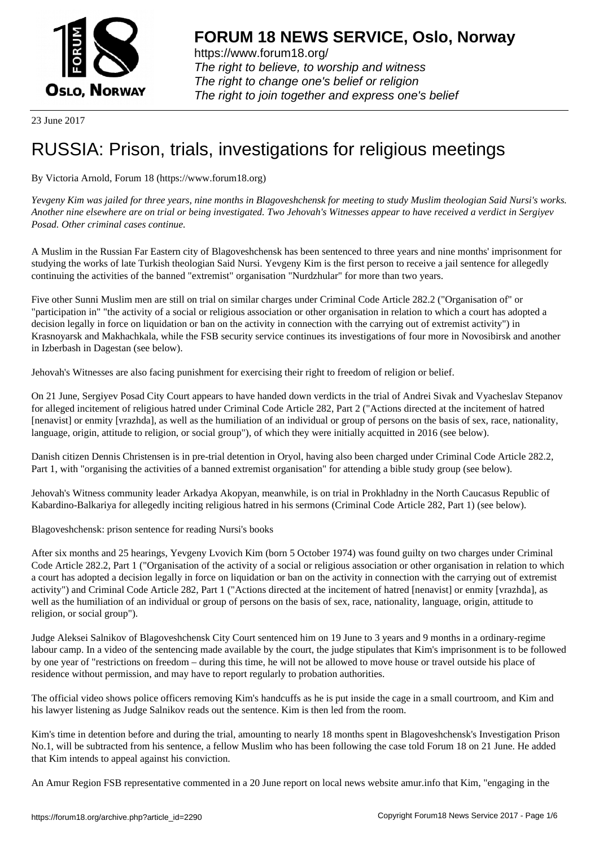

https://www.forum18.org/ The right to believe, to worship and witness The right to change one's belief or religion [The right to join together a](https://www.forum18.org/)nd express one's belief

23 June 2017

## [RUSSIA: Prison](https://www.forum18.org), trials, investigations for religious meetings

By Victoria Arnold, Forum 18 (https://www.forum18.org)

*Yevgeny Kim was jailed for three years, nine months in Blagoveshchensk for meeting to study Muslim theologian Said Nursi's works. Another nine elsewhere are on trial or being investigated. Two Jehovah's Witnesses appear to have received a verdict in Sergiyev Posad. Other criminal cases continue.*

A Muslim in the Russian Far Eastern city of Blagoveshchensk has been sentenced to three years and nine months' imprisonment for studying the works of late Turkish theologian Said Nursi. Yevgeny Kim is the first person to receive a jail sentence for allegedly continuing the activities of the banned "extremist" organisation "Nurdzhular" for more than two years.

Five other Sunni Muslim men are still on trial on similar charges under Criminal Code Article 282.2 ("Organisation of" or "participation in" "the activity of a social or religious association or other organisation in relation to which a court has adopted a decision legally in force on liquidation or ban on the activity in connection with the carrying out of extremist activity") in Krasnoyarsk and Makhachkala, while the FSB security service continues its investigations of four more in Novosibirsk and another in Izberbash in Dagestan (see below).

Jehovah's Witnesses are also facing punishment for exercising their right to freedom of religion or belief.

On 21 June, Sergiyev Posad City Court appears to have handed down verdicts in the trial of Andrei Sivak and Vyacheslav Stepanov for alleged incitement of religious hatred under Criminal Code Article 282, Part 2 ("Actions directed at the incitement of hatred [nenavist] or enmity [vrazhda], as well as the humiliation of an individual or group of persons on the basis of sex, race, nationality, language, origin, attitude to religion, or social group"), of which they were initially acquitted in 2016 (see below).

Danish citizen Dennis Christensen is in pre-trial detention in Oryol, having also been charged under Criminal Code Article 282.2, Part 1, with "organising the activities of a banned extremist organisation" for attending a bible study group (see below).

Jehovah's Witness community leader Arkadya Akopyan, meanwhile, is on trial in Prokhladny in the North Caucasus Republic of Kabardino-Balkariya for allegedly inciting religious hatred in his sermons (Criminal Code Article 282, Part 1) (see below).

Blagoveshchensk: prison sentence for reading Nursi's books

After six months and 25 hearings, Yevgeny Lvovich Kim (born 5 October 1974) was found guilty on two charges under Criminal Code Article 282.2, Part 1 ("Organisation of the activity of a social or religious association or other organisation in relation to which a court has adopted a decision legally in force on liquidation or ban on the activity in connection with the carrying out of extremist activity") and Criminal Code Article 282, Part 1 ("Actions directed at the incitement of hatred [nenavist] or enmity [vrazhda], as well as the humiliation of an individual or group of persons on the basis of sex, race, nationality, language, origin, attitude to religion, or social group").

Judge Aleksei Salnikov of Blagoveshchensk City Court sentenced him on 19 June to 3 years and 9 months in a ordinary-regime labour camp. In a video of the sentencing made available by the court, the judge stipulates that Kim's imprisonment is to be followed by one year of "restrictions on freedom – during this time, he will not be allowed to move house or travel outside his place of residence without permission, and may have to report regularly to probation authorities.

The official video shows police officers removing Kim's handcuffs as he is put inside the cage in a small courtroom, and Kim and his lawyer listening as Judge Salnikov reads out the sentence. Kim is then led from the room.

Kim's time in detention before and during the trial, amounting to nearly 18 months spent in Blagoveshchensk's Investigation Prison No.1, will be subtracted from his sentence, a fellow Muslim who has been following the case told Forum 18 on 21 June. He added that Kim intends to appeal against his conviction.

An Amur Region FSB representative commented in a 20 June report on local news website amur.info that Kim, "engaging in the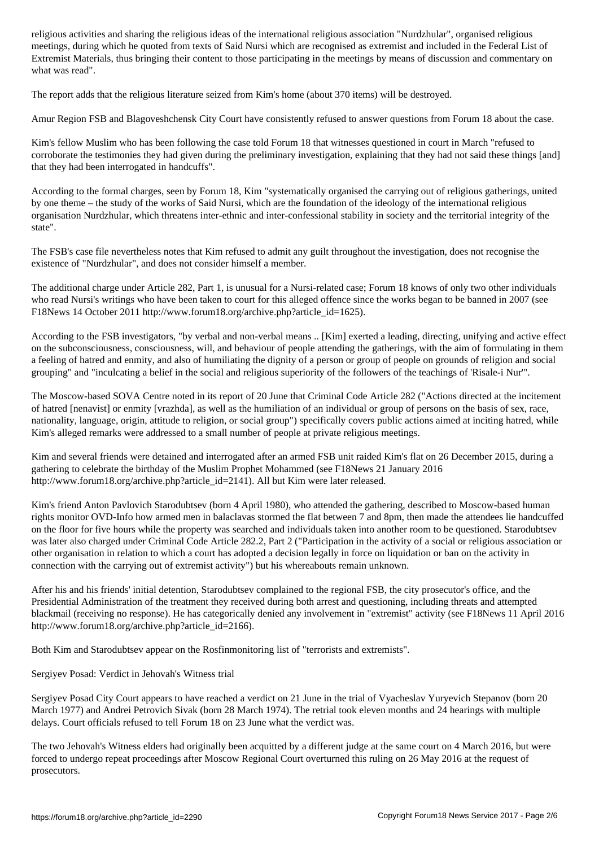meetings, during which he quoted from texts of Said Nursi which are recognised as extremist and included in the Federal List of Extremist Materials, thus bringing their content to those participating in the meetings by means of discussion and commentary on what was read".

The report adds that the religious literature seized from Kim's home (about 370 items) will be destroyed.

Amur Region FSB and Blagoveshchensk City Court have consistently refused to answer questions from Forum 18 about the case.

Kim's fellow Muslim who has been following the case told Forum 18 that witnesses questioned in court in March "refused to corroborate the testimonies they had given during the preliminary investigation, explaining that they had not said these things [and] that they had been interrogated in handcuffs".

According to the formal charges, seen by Forum 18, Kim "systematically organised the carrying out of religious gatherings, united by one theme – the study of the works of Said Nursi, which are the foundation of the ideology of the international religious organisation Nurdzhular, which threatens inter-ethnic and inter-confessional stability in society and the territorial integrity of the state".

The FSB's case file nevertheless notes that Kim refused to admit any guilt throughout the investigation, does not recognise the existence of "Nurdzhular", and does not consider himself a member.

The additional charge under Article 282, Part 1, is unusual for a Nursi-related case; Forum 18 knows of only two other individuals who read Nursi's writings who have been taken to court for this alleged offence since the works began to be banned in 2007 (see F18News 14 October 2011 http://www.forum18.org/archive.php?article\_id=1625).

According to the FSB investigators, "by verbal and non-verbal means .. [Kim] exerted a leading, directing, unifying and active effect on the subconsciousness, consciousness, will, and behaviour of people attending the gatherings, with the aim of formulating in them a feeling of hatred and enmity, and also of humiliating the dignity of a person or group of people on grounds of religion and social grouping" and "inculcating a belief in the social and religious superiority of the followers of the teachings of 'Risale-i Nur'".

The Moscow-based SOVA Centre noted in its report of 20 June that Criminal Code Article 282 ("Actions directed at the incitement of hatred [nenavist] or enmity [vrazhda], as well as the humiliation of an individual or group of persons on the basis of sex, race, nationality, language, origin, attitude to religion, or social group") specifically covers public actions aimed at inciting hatred, while Kim's alleged remarks were addressed to a small number of people at private religious meetings.

Kim and several friends were detained and interrogated after an armed FSB unit raided Kim's flat on 26 December 2015, during a gathering to celebrate the birthday of the Muslim Prophet Mohammed (see F18News 21 January 2016 http://www.forum18.org/archive.php?article\_id=2141). All but Kim were later released.

Kim's friend Anton Pavlovich Starodubtsev (born 4 April 1980), who attended the gathering, described to Moscow-based human rights monitor OVD-Info how armed men in balaclavas stormed the flat between 7 and 8pm, then made the attendees lie handcuffed on the floor for five hours while the property was searched and individuals taken into another room to be questioned. Starodubtsev was later also charged under Criminal Code Article 282.2, Part 2 ("Participation in the activity of a social or religious association or other organisation in relation to which a court has adopted a decision legally in force on liquidation or ban on the activity in connection with the carrying out of extremist activity") but his whereabouts remain unknown.

After his and his friends' initial detention, Starodubtsev complained to the regional FSB, the city prosecutor's office, and the Presidential Administration of the treatment they received during both arrest and questioning, including threats and attempted blackmail (receiving no response). He has categorically denied any involvement in "extremist" activity (see F18News 11 April 2016 http://www.forum18.org/archive.php?article\_id=2166).

Both Kim and Starodubtsev appear on the Rosfinmonitoring list of "terrorists and extremists".

Sergiyev Posad: Verdict in Jehovah's Witness trial

Sergiyev Posad City Court appears to have reached a verdict on 21 June in the trial of Vyacheslav Yuryevich Stepanov (born 20 March 1977) and Andrei Petrovich Sivak (born 28 March 1974). The retrial took eleven months and 24 hearings with multiple delays. Court officials refused to tell Forum 18 on 23 June what the verdict was.

The two Jehovah's Witness elders had originally been acquitted by a different judge at the same court on 4 March 2016, but were forced to undergo repeat proceedings after Moscow Regional Court overturned this ruling on 26 May 2016 at the request of prosecutors.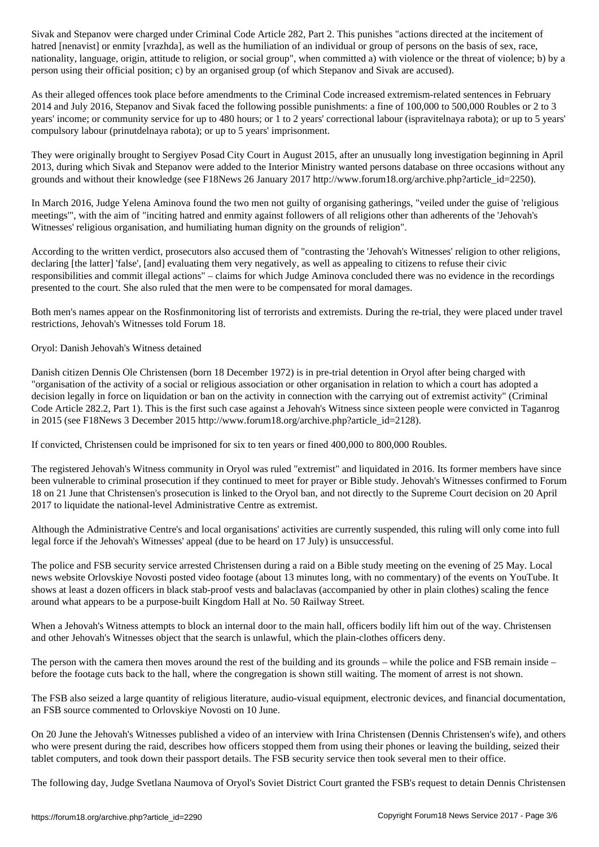hatred [nenavist] or enmity [vrazhda], as well as the humiliation of an individual or group of persons on the basis of sex, race, nationality, language, origin, attitude to religion, or social group", when committed a) with violence or the threat of violence; b) by a person using their official position; c) by an organised group (of which Stepanov and Sivak are accused).

As their alleged offences took place before amendments to the Criminal Code increased extremism-related sentences in February 2014 and July 2016, Stepanov and Sivak faced the following possible punishments: a fine of 100,000 to 500,000 Roubles or 2 to 3 years' income; or community service for up to 480 hours; or 1 to 2 years' correctional labour (ispravitelnaya rabota); or up to 5 years' compulsory labour (prinutdelnaya rabota); or up to 5 years' imprisonment.

They were originally brought to Sergiyev Posad City Court in August 2015, after an unusually long investigation beginning in April 2013, during which Sivak and Stepanov were added to the Interior Ministry wanted persons database on three occasions without any grounds and without their knowledge (see F18News 26 January 2017 http://www.forum18.org/archive.php?article\_id=2250).

In March 2016, Judge Yelena Aminova found the two men not guilty of organising gatherings, "veiled under the guise of 'religious meetings'", with the aim of "inciting hatred and enmity against followers of all religions other than adherents of the 'Jehovah's Witnesses' religious organisation, and humiliating human dignity on the grounds of religion".

According to the written verdict, prosecutors also accused them of "contrasting the 'Jehovah's Witnesses' religion to other religions, declaring [the latter] 'false', [and] evaluating them very negatively, as well as appealing to citizens to refuse their civic responsibilities and commit illegal actions" – claims for which Judge Aminova concluded there was no evidence in the recordings presented to the court. She also ruled that the men were to be compensated for moral damages.

Both men's names appear on the Rosfinmonitoring list of terrorists and extremists. During the re-trial, they were placed under travel restrictions, Jehovah's Witnesses told Forum 18.

Oryol: Danish Jehovah's Witness detained

Danish citizen Dennis Ole Christensen (born 18 December 1972) is in pre-trial detention in Oryol after being charged with "organisation of the activity of a social or religious association or other organisation in relation to which a court has adopted a decision legally in force on liquidation or ban on the activity in connection with the carrying out of extremist activity" (Criminal Code Article 282.2, Part 1). This is the first such case against a Jehovah's Witness since sixteen people were convicted in Taganrog in 2015 (see F18News 3 December 2015 http://www.forum18.org/archive.php?article\_id=2128).

If convicted, Christensen could be imprisoned for six to ten years or fined 400,000 to 800,000 Roubles.

The registered Jehovah's Witness community in Oryol was ruled "extremist" and liquidated in 2016. Its former members have since been vulnerable to criminal prosecution if they continued to meet for prayer or Bible study. Jehovah's Witnesses confirmed to Forum 18 on 21 June that Christensen's prosecution is linked to the Oryol ban, and not directly to the Supreme Court decision on 20 April 2017 to liquidate the national-level Administrative Centre as extremist.

Although the Administrative Centre's and local organisations' activities are currently suspended, this ruling will only come into full legal force if the Jehovah's Witnesses' appeal (due to be heard on 17 July) is unsuccessful.

The police and FSB security service arrested Christensen during a raid on a Bible study meeting on the evening of 25 May. Local news website Orlovskiye Novosti posted video footage (about 13 minutes long, with no commentary) of the events on YouTube. It shows at least a dozen officers in black stab-proof vests and balaclavas (accompanied by other in plain clothes) scaling the fence around what appears to be a purpose-built Kingdom Hall at No. 50 Railway Street.

When a Jehovah's Witness attempts to block an internal door to the main hall, officers bodily lift him out of the way. Christensen and other Jehovah's Witnesses object that the search is unlawful, which the plain-clothes officers deny.

The person with the camera then moves around the rest of the building and its grounds – while the police and FSB remain inside – before the footage cuts back to the hall, where the congregation is shown still waiting. The moment of arrest is not shown.

The FSB also seized a large quantity of religious literature, audio-visual equipment, electronic devices, and financial documentation, an FSB source commented to Orlovskiye Novosti on 10 June.

On 20 June the Jehovah's Witnesses published a video of an interview with Irina Christensen (Dennis Christensen's wife), and others who were present during the raid, describes how officers stopped them from using their phones or leaving the building, seized their tablet computers, and took down their passport details. The FSB security service then took several men to their office.

The following day, Judge Svetlana Naumova of Oryol's Soviet District Court granted the FSB's request to detain Dennis Christensen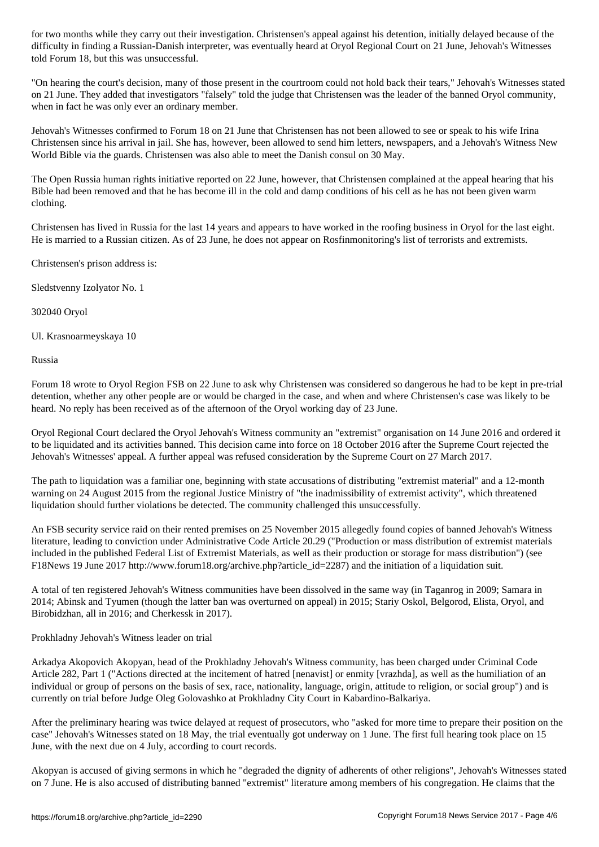difficulty in finding a Russian-Danish interpreter, was eventually heard at Oryol Regional Court on 21 June, Jehovah's Witnesses told Forum 18, but this was unsuccessful.

"On hearing the court's decision, many of those present in the courtroom could not hold back their tears," Jehovah's Witnesses stated on 21 June. They added that investigators "falsely" told the judge that Christensen was the leader of the banned Oryol community, when in fact he was only ever an ordinary member.

Jehovah's Witnesses confirmed to Forum 18 on 21 June that Christensen has not been allowed to see or speak to his wife Irina Christensen since his arrival in jail. She has, however, been allowed to send him letters, newspapers, and a Jehovah's Witness New World Bible via the guards. Christensen was also able to meet the Danish consul on 30 May.

The Open Russia human rights initiative reported on 22 June, however, that Christensen complained at the appeal hearing that his Bible had been removed and that he has become ill in the cold and damp conditions of his cell as he has not been given warm clothing.

Christensen has lived in Russia for the last 14 years and appears to have worked in the roofing business in Oryol for the last eight. He is married to a Russian citizen. As of 23 June, he does not appear on Rosfinmonitoring's list of terrorists and extremists.

Christensen's prison address is:

Sledstvenny Izolyator No. 1

302040 Oryol

Ul. Krasnoarmeyskaya 10

Russia

Forum 18 wrote to Oryol Region FSB on 22 June to ask why Christensen was considered so dangerous he had to be kept in pre-trial detention, whether any other people are or would be charged in the case, and when and where Christensen's case was likely to be heard. No reply has been received as of the afternoon of the Oryol working day of 23 June.

Oryol Regional Court declared the Oryol Jehovah's Witness community an "extremist" organisation on 14 June 2016 and ordered it to be liquidated and its activities banned. This decision came into force on 18 October 2016 after the Supreme Court rejected the Jehovah's Witnesses' appeal. A further appeal was refused consideration by the Supreme Court on 27 March 2017.

The path to liquidation was a familiar one, beginning with state accusations of distributing "extremist material" and a 12-month warning on 24 August 2015 from the regional Justice Ministry of "the inadmissibility of extremist activity", which threatened liquidation should further violations be detected. The community challenged this unsuccessfully.

An FSB security service raid on their rented premises on 25 November 2015 allegedly found copies of banned Jehovah's Witness literature, leading to conviction under Administrative Code Article 20.29 ("Production or mass distribution of extremist materials included in the published Federal List of Extremist Materials, as well as their production or storage for mass distribution") (see F18News 19 June 2017 http://www.forum18.org/archive.php?article\_id=2287) and the initiation of a liquidation suit.

A total of ten registered Jehovah's Witness communities have been dissolved in the same way (in Taganrog in 2009; Samara in 2014; Abinsk and Tyumen (though the latter ban was overturned on appeal) in 2015; Stariy Oskol, Belgorod, Elista, Oryol, and Birobidzhan, all in 2016; and Cherkessk in 2017).

Prokhladny Jehovah's Witness leader on trial

Arkadya Akopovich Akopyan, head of the Prokhladny Jehovah's Witness community, has been charged under Criminal Code Article 282, Part 1 ("Actions directed at the incitement of hatred [nenavist] or enmity [vrazhda], as well as the humiliation of an individual or group of persons on the basis of sex, race, nationality, language, origin, attitude to religion, or social group") and is currently on trial before Judge Oleg Golovashko at Prokhladny City Court in Kabardino-Balkariya.

After the preliminary hearing was twice delayed at request of prosecutors, who "asked for more time to prepare their position on the case" Jehovah's Witnesses stated on 18 May, the trial eventually got underway on 1 June. The first full hearing took place on 15 June, with the next due on 4 July, according to court records.

Akopyan is accused of giving sermons in which he "degraded the dignity of adherents of other religions", Jehovah's Witnesses stated on 7 June. He is also accused of distributing banned "extremist" literature among members of his congregation. He claims that the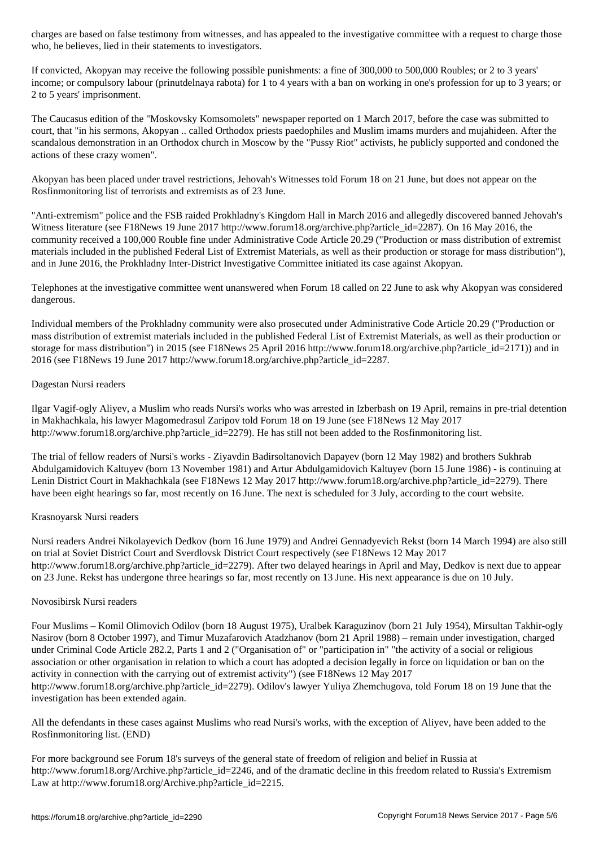who, he believes, lied in the believes, lied in the believes, lied in the statements to investigators.

If convicted, Akopyan may receive the following possible punishments: a fine of 300,000 to 500,000 Roubles; or 2 to 3 years' income; or compulsory labour (prinutdelnaya rabota) for 1 to 4 years with a ban on working in one's profession for up to 3 years; or 2 to 5 years' imprisonment.

The Caucasus edition of the "Moskovsky Komsomolets" newspaper reported on 1 March 2017, before the case was submitted to court, that "in his sermons, Akopyan .. called Orthodox priests paedophiles and Muslim imams murders and mujahideen. After the scandalous demonstration in an Orthodox church in Moscow by the "Pussy Riot" activists, he publicly supported and condoned the actions of these crazy women".

Akopyan has been placed under travel restrictions, Jehovah's Witnesses told Forum 18 on 21 June, but does not appear on the Rosfinmonitoring list of terrorists and extremists as of 23 June.

"Anti-extremism" police and the FSB raided Prokhladny's Kingdom Hall in March 2016 and allegedly discovered banned Jehovah's Witness literature (see F18News 19 June 2017 http://www.forum18.org/archive.php?article\_id=2287). On 16 May 2016, the community received a 100,000 Rouble fine under Administrative Code Article 20.29 ("Production or mass distribution of extremist materials included in the published Federal List of Extremist Materials, as well as their production or storage for mass distribution"), and in June 2016, the Prokhladny Inter-District Investigative Committee initiated its case against Akopyan.

Telephones at the investigative committee went unanswered when Forum 18 called on 22 June to ask why Akopyan was considered dangerous.

Individual members of the Prokhladny community were also prosecuted under Administrative Code Article 20.29 ("Production or mass distribution of extremist materials included in the published Federal List of Extremist Materials, as well as their production or storage for mass distribution") in 2015 (see F18News 25 April 2016 http://www.forum18.org/archive.php?article\_id=2171)) and in 2016 (see F18News 19 June 2017 http://www.forum18.org/archive.php?article\_id=2287.

## Dagestan Nursi readers

Ilgar Vagif-ogly Aliyev, a Muslim who reads Nursi's works who was arrested in Izberbash on 19 April, remains in pre-trial detention in Makhachkala, his lawyer Magomedrasul Zaripov told Forum 18 on 19 June (see F18News 12 May 2017 http://www.forum18.org/archive.php?article\_id=2279). He has still not been added to the Rosfinmonitoring list.

The trial of fellow readers of Nursi's works - Ziyavdin Badirsoltanovich Dapayev (born 12 May 1982) and brothers Sukhrab Abdulgamidovich Kaltuyev (born 13 November 1981) and Artur Abdulgamidovich Kaltuyev (born 15 June 1986) - is continuing at Lenin District Court in Makhachkala (see F18News 12 May 2017 http://www.forum18.org/archive.php?article\_id=2279). There have been eight hearings so far, most recently on 16 June. The next is scheduled for 3 July, according to the court website.

## Krasnoyarsk Nursi readers

Nursi readers Andrei Nikolayevich Dedkov (born 16 June 1979) and Andrei Gennadyevich Rekst (born 14 March 1994) are also still on trial at Soviet District Court and Sverdlovsk District Court respectively (see F18News 12 May 2017 http://www.forum18.org/archive.php?article\_id=2279). After two delayed hearings in April and May, Dedkov is next due to appear on 23 June. Rekst has undergone three hearings so far, most recently on 13 June. His next appearance is due on 10 July.

## Novosibirsk Nursi readers

Four Muslims – Komil Olimovich Odilov (born 18 August 1975), Uralbek Karaguzinov (born 21 July 1954), Mirsultan Takhir-ogly Nasirov (born 8 October 1997), and Timur Muzafarovich Atadzhanov (born 21 April 1988) – remain under investigation, charged under Criminal Code Article 282.2, Parts 1 and 2 ("Organisation of" or "participation in" "the activity of a social or religious association or other organisation in relation to which a court has adopted a decision legally in force on liquidation or ban on the activity in connection with the carrying out of extremist activity") (see F18News 12 May 2017 http://www.forum18.org/archive.php?article\_id=2279). Odilov's lawyer Yuliya Zhemchugova, told Forum 18 on 19 June that the investigation has been extended again.

All the defendants in these cases against Muslims who read Nursi's works, with the exception of Aliyev, have been added to the Rosfinmonitoring list. (END)

For more background see Forum 18's surveys of the general state of freedom of religion and belief in Russia at http://www.forum18.org/Archive.php?article\_id=2246, and of the dramatic decline in this freedom related to Russia's Extremism Law at http://www.forum18.org/Archive.php?article\_id=2215.